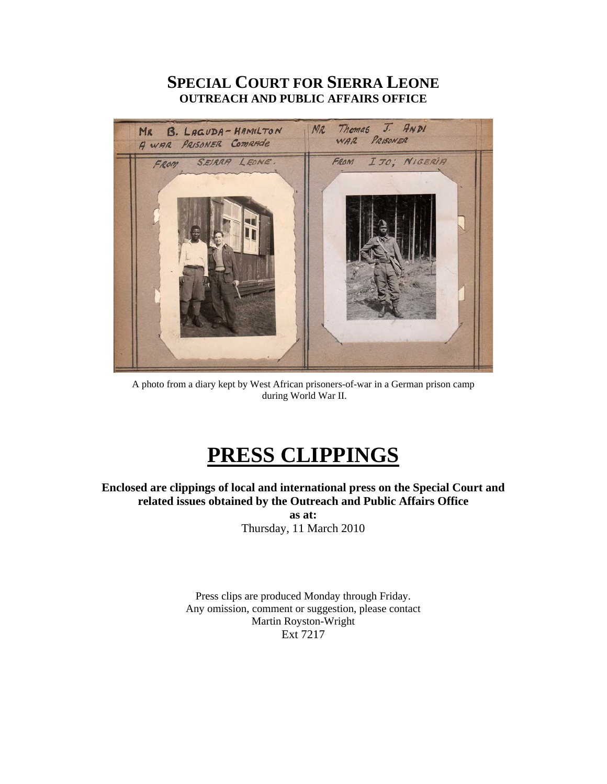## **SPECIAL COURT FOR SIERRA LEONE OUTREACH AND PUBLIC AFFAIRS OFFICE**



A photo from a diary kept by West African prisoners-of-war in a German prison camp during World War II.

# **PRESS CLIPPINGS**

**Enclosed are clippings of local and international press on the Special Court and related issues obtained by the Outreach and Public Affairs Office as at:** 

Thursday, 11 March 2010

Press clips are produced Monday through Friday. Any omission, comment or suggestion, please contact Martin Royston-Wright Ext 7217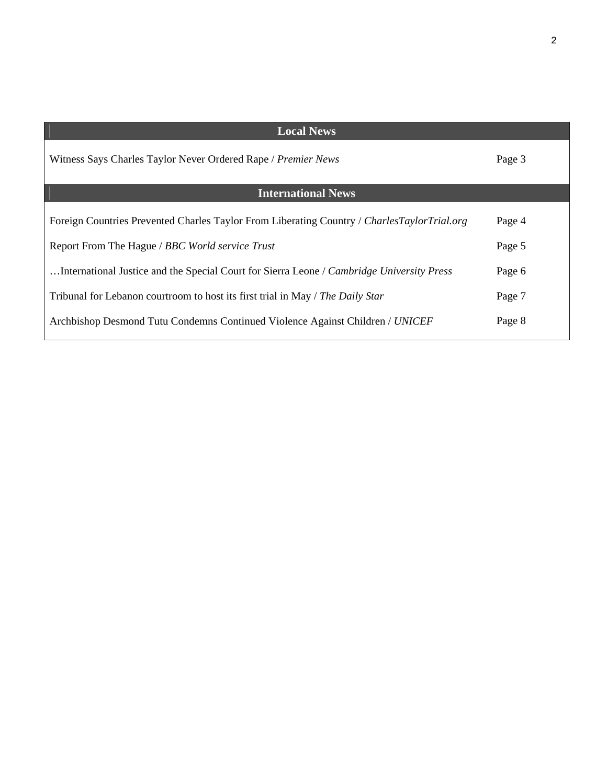| <b>Local News</b>                                                                           |        |
|---------------------------------------------------------------------------------------------|--------|
| Witness Says Charles Taylor Never Ordered Rape / Premier News                               | Page 3 |
| <b>International News</b>                                                                   |        |
|                                                                                             |        |
| Foreign Countries Prevented Charles Taylor From Liberating Country / CharlesTaylorTrial.org | Page 4 |
| Report From The Hague / BBC World service Trust                                             | Page 5 |
|                                                                                             |        |
| International Justice and the Special Court for Sierra Leone / Cambridge University Press   | Page 6 |
| Tribunal for Lebanon courtroom to host its first trial in May / The Daily Star              | Page 7 |
|                                                                                             |        |
| Archbishop Desmond Tutu Condemns Continued Violence Against Children / UNICEF               | Page 8 |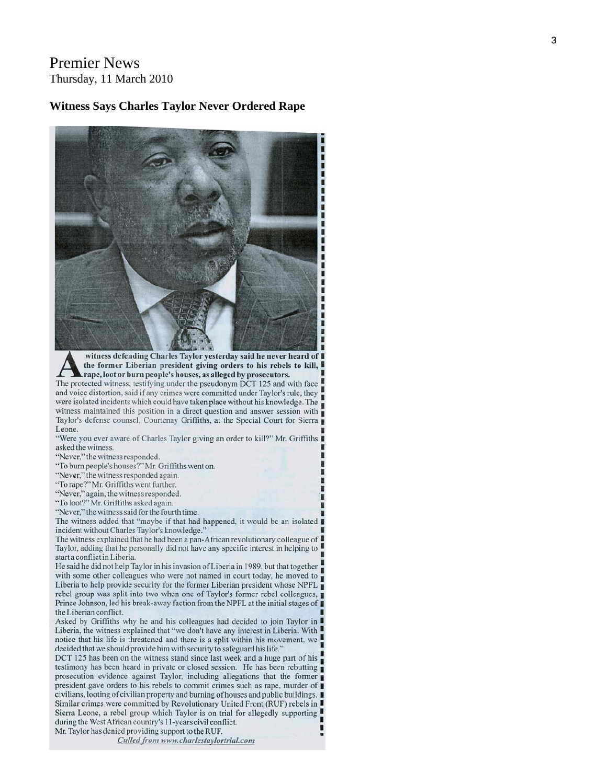## **Premier News** Thursday, 11 March 2010

#### **Witness Says Charles Taylor Never Ordered Rape**



witness defending Charles Taylor yesterday said he never heard of I the former Liberian president giving orders to his rebels to kill, I rape, loot or burn people's houses, as alleged by prosecutors.

The protected witness, testifying under the pseudonym DCT 125 and with face and voice distortion, said if any crimes were committed under Taylor's rule, they were isolated incidents which could have taken place without his knowledge. The witness maintained this position in a direct question and answer session with Taylor's defense counsel, Courtenay Griffiths, at the Special Court for Sierra Leone.

"Were you ever aware of Charles Taylor giving an order to kill?" Mr. Griffiths I asked the witness.

"Never," the witness responded.

"To burn people's houses?" Mr. Griffiths went on.

"Never," the witness responded again.

"To rape?" Mr. Griffiths went further.

"Never," again, the witness responded.

"To loot?" Mr. Griffiths asked again.

"Never," the witness said for the fourth time.

The witness added that "maybe if that had happened, it would be an isolated I incident without Charles Taylor's knowledge."

The witness explained that he had been a pan-African revolutionary colleague of Taylor, adding that he personally did not have any specific interest in helping to start a conflict in Liberia.

He said he did not help Taylor in his invasion of Liberia in 1989, but that together with some other colleagues who were not named in court today, he moved to Liberia to help provide security for the former Liberian president whose NPFL  $\blacksquare$ rebel group was split into two when one of Taylor's former rebel colleagues, Prince Johnson, led his break-away faction from the NPFL at the initial stages of the Liberian conflict.

Asked by Griffiths why he and his colleagues had decided to join Taylor in I Liberia, the witness explained that "we don't have any interest in Liberia. With notice that his life is threatened and there is a split within his movement, we decided that we should provide him with security to safeguard his life."

DCT 125 has been on the witness stand since last week and a huge part of his testimony has been heard in private or closed session. He has been rebutting prosecution evidence against Taylor, including allegations that the former president gave orders to his rebels to commit crimes such as rape, murder of civilians, looting of civilian property and burning of houses and public buildings. Similar crimes were committed by Revolutionary United Front (RUF) rebels in Sierra Leone, a rebel group which Taylor is on trial for allegedly supporting during the West African country's 11-years civil conflict. Mr. Taylor has denied providing support to the RUF.

Culled from www.charlestaylortrial.com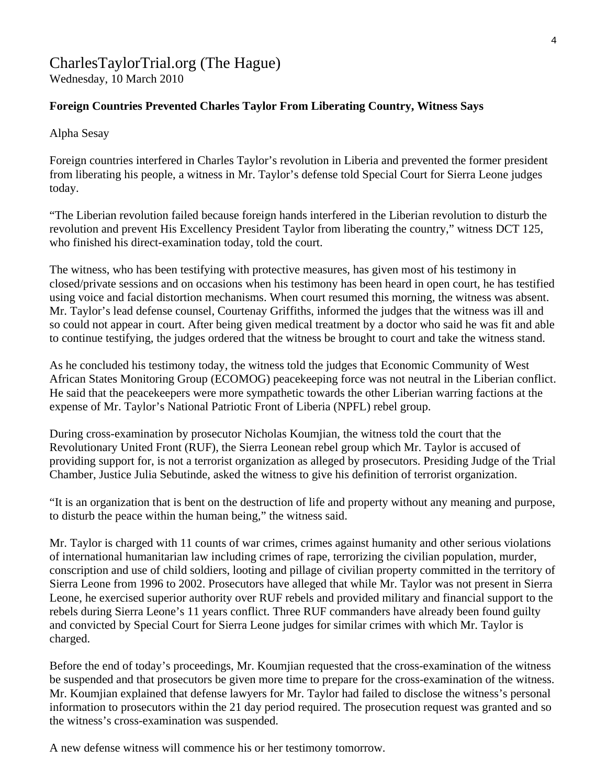## CharlesTaylorTrial.org (The Hague) Wednesday, 10 March 2010

## **Foreign Countries Prevented Charles Taylor From Liberating Country, Witness Says**

Alpha Sesay

Foreign countries interfered in Charles Taylor's revolution in Liberia and prevented the former president from liberating his people, a witness in Mr. Taylor's defense told Special Court for Sierra Leone judges today.

"The Liberian revolution failed because foreign hands interfered in the Liberian revolution to disturb the revolution and prevent His Excellency President Taylor from liberating the country," witness DCT 125, who finished his direct-examination today, told the court.

The witness, who has been testifying with protective measures, has given most of his testimony in closed/private sessions and on occasions when his testimony has been heard in open court, he has testified using voice and facial distortion mechanisms. When court resumed this morning, the witness was absent. Mr. Taylor's lead defense counsel, Courtenay Griffiths, informed the judges that the witness was ill and so could not appear in court. After being given medical treatment by a doctor who said he was fit and able to continue testifying, the judges ordered that the witness be brought to court and take the witness stand.

As he concluded his testimony today, the witness told the judges that Economic Community of West African States Monitoring Group (ECOMOG) peacekeeping force was not neutral in the Liberian conflict. He said that the peacekeepers were more sympathetic towards the other Liberian warring factions at the expense of Mr. Taylor's National Patriotic Front of Liberia (NPFL) rebel group.

During cross-examination by prosecutor Nicholas Koumjian, the witness told the court that the Revolutionary United Front (RUF), the Sierra Leonean rebel group which Mr. Taylor is accused of providing support for, is not a terrorist organization as alleged by prosecutors. Presiding Judge of the Trial Chamber, Justice Julia Sebutinde, asked the witness to give his definition of terrorist organization.

"It is an organization that is bent on the destruction of life and property without any meaning and purpose, to disturb the peace within the human being," the witness said.

Mr. Taylor is charged with 11 counts of war crimes, crimes against humanity and other serious violations of international humanitarian law including crimes of rape, terrorizing the civilian population, murder, conscription and use of child soldiers, looting and pillage of civilian property committed in the territory of Sierra Leone from 1996 to 2002. Prosecutors have alleged that while Mr. Taylor was not present in Sierra Leone, he exercised superior authority over RUF rebels and provided military and financial support to the rebels during Sierra Leone's 11 years conflict. Three RUF commanders have already been found guilty and convicted by Special Court for Sierra Leone judges for similar crimes with which Mr. Taylor is charged.

Before the end of today's proceedings, Mr. Koumjian requested that the cross-examination of the witness be suspended and that prosecutors be given more time to prepare for the cross-examination of the witness. Mr. Koumjian explained that defense lawyers for Mr. Taylor had failed to disclose the witness's personal information to prosecutors within the 21 day period required. The prosecution request was granted and so the witness's cross-examination was suspended.

A new defense witness will commence his or her testimony tomorrow.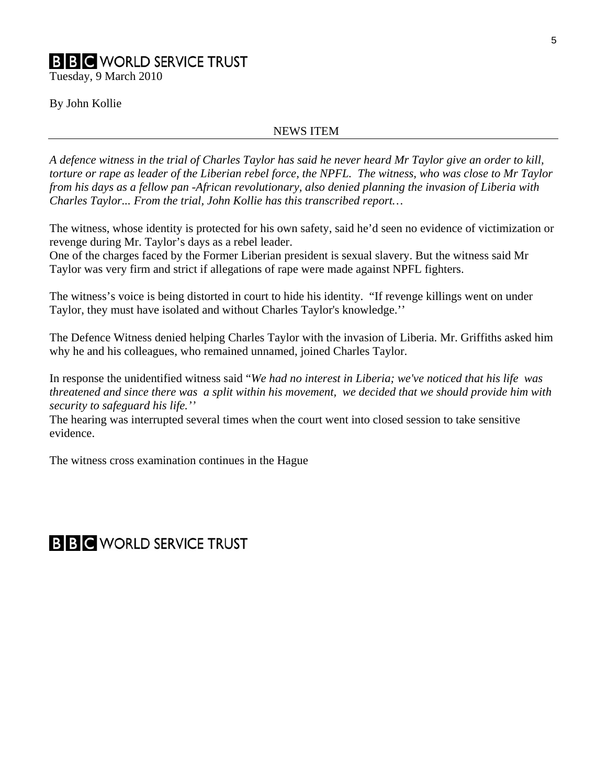# **B B C** WORLD SERVICE TRUST

Tuesday, 9 March 2010

#### By John Kollie

#### NEWS ITEM

*A defence witness in the trial of Charles Taylor has said he never heard Mr Taylor give an order to kill, torture or rape as leader of the Liberian rebel force, the NPFL. The witness, who was close to Mr Taylor from his days as a fellow pan -African revolutionary, also denied planning the invasion of Liberia with Charles Taylor... From the trial, John Kollie has this transcribed report…* 

The witness, whose identity is protected for his own safety, said he'd seen no evidence of victimization or revenge during Mr. Taylor's days as a rebel leader.

One of the charges faced by the Former Liberian president is sexual slavery. But the witness said Mr Taylor was very firm and strict if allegations of rape were made against NPFL fighters.

The witness's voice is being distorted in court to hide his identity. "If revenge killings went on under Taylor, they must have isolated and without Charles Taylor's knowledge.''

The Defence Witness denied helping Charles Taylor with the invasion of Liberia. Mr. Griffiths asked him why he and his colleagues, who remained unnamed, joined Charles Taylor.

In response the unidentified witness said "*We had no interest in Liberia; we've noticed that his life was threatened and since there was a split within his movement, we decided that we should provide him with security to safeguard his life.''* 

The hearing was interrupted several times when the court went into closed session to take sensitive evidence.

The witness cross examination continues in the Hague

## **B B C** WORLD SERVICE TRUST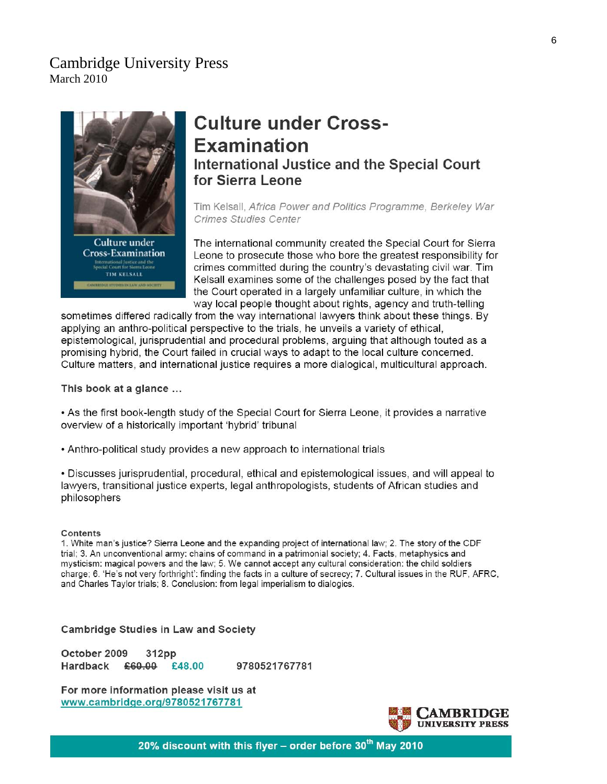## **Cambridge University Press** March 2010



# ernational Justice and the<br>cial Court for Sierra Leone **TIM KELSALL**

# **Culture under Cross-Examination International Justice and the Special Court** for Sierra Leone

Tim Kelsall, Africa Power and Politics Programme, Berkeley War **Crimes Studies Center** 

The international community created the Special Court for Sierra Leone to prosecute those who bore the greatest responsibility for crimes committed during the country's devastating civil war. Tim Kelsall examines some of the challenges posed by the fact that the Court operated in a largely unfamiliar culture, in which the way local people thought about rights, agency and truth-telling

sometimes differed radically from the way international lawyers think about these things. By applying an anthro-political perspective to the trials, he unveils a variety of ethical. epistemological, jurisprudential and procedural problems, arquing that although touted as a promising hybrid, the Court failed in crucial ways to adapt to the local culture concerned. Culture matters, and international justice requires a more dialogical, multicultural approach.

This book at a glance ...

• As the first book-length study of the Special Court for Sierra Leone, it provides a narrative overview of a historically important 'hybrid' tribunal

• Anthro-political study provides a new approach to international trials

. Discusses jurisprudential, procedural, ethical and epistemological issues, and will appeal to lawyers, transitional justice experts, legal anthropologists, students of African studies and philosophers

#### Contents

1. White man's justice? Sierra Leone and the expanding project of international law; 2. The story of the CDF trial; 3. An unconventional army: chains of command in a patrimonial society; 4. Facts, metaphysics and mysticism: magical powers and the law; 5. We cannot accept any cultural consideration: the child soldiers charge; 6. 'He's not very forthright': finding the facts in a culture of secrecy; 7. Cultural issues in the RUF, AFRC, and Charles Taylor trials; 8. Conclusion: from legal imperialism to dialogics.

#### **Cambridge Studies in Law and Society**

October 2009 312pp Hardback £60.00 £48.00 9780521767781

For more information please visit us at www.cambridge.org/9780521767781



20% discount with this flyer – order before 30<sup>th</sup> May 2010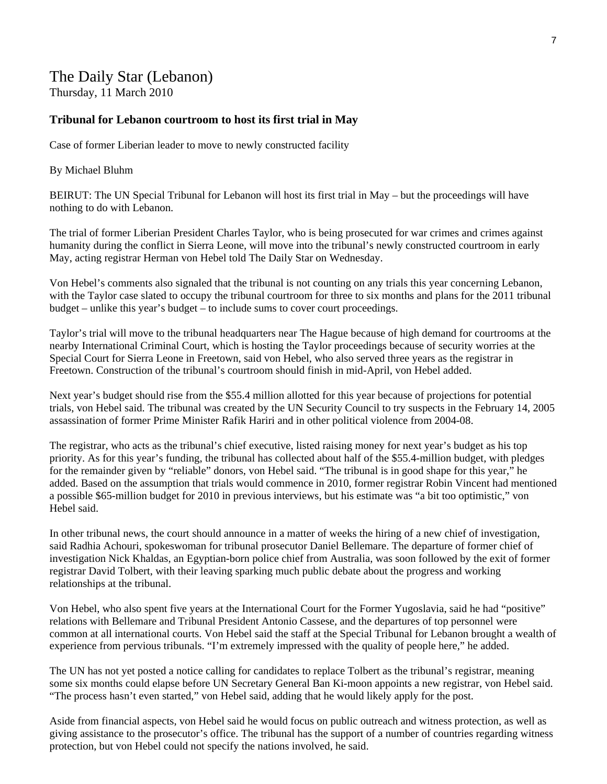## The Daily Star (Lebanon) Thursday, 11 March 2010

#### **Tribunal for Lebanon courtroom to host its first trial in May**

Case of former Liberian leader to move to newly constructed facility

#### By Michael Bluhm

BEIRUT: The UN Special Tribunal for Lebanon will host its first trial in May – but the proceedings will have nothing to do with Lebanon.

The trial of former Liberian President Charles Taylor, who is being prosecuted for war crimes and crimes against humanity during the conflict in Sierra Leone, will move into the tribunal's newly constructed courtroom in early May, acting registrar Herman von Hebel told The Daily Star on Wednesday.

Von Hebel's comments also signaled that the tribunal is not counting on any trials this year concerning Lebanon, with the Taylor case slated to occupy the tribunal courtroom for three to six months and plans for the 2011 tribunal budget – unlike this year's budget – to include sums to cover court proceedings.

Taylor's trial will move to the tribunal headquarters near The Hague because of high demand for courtrooms at the nearby International Criminal Court, which is hosting the Taylor proceedings because of security worries at the Special Court for Sierra Leone in Freetown, said von Hebel, who also served three years as the registrar in Freetown. Construction of the tribunal's courtroom should finish in mid-April, von Hebel added.

Next year's budget should rise from the \$55.4 million allotted for this year because of projections for potential trials, von Hebel said. The tribunal was created by the UN Security Council to try suspects in the February 14, 2005 assassination of former Prime Minister Rafik Hariri and in other political violence from 2004-08.

The registrar, who acts as the tribunal's chief executive, listed raising money for next year's budget as his top priority. As for this year's funding, the tribunal has collected about half of the \$55.4-million budget, with pledges for the remainder given by "reliable" donors, von Hebel said. "The tribunal is in good shape for this year," he added. Based on the assumption that trials would commence in 2010, former registrar Robin Vincent had mentioned a possible \$65-million budget for 2010 in previous interviews, but his estimate was "a bit too optimistic," von Hebel said.

In other tribunal news, the court should announce in a matter of weeks the hiring of a new chief of investigation, said Radhia Achouri, spokeswoman for tribunal prosecutor Daniel Bellemare. The departure of former chief of investigation Nick Khaldas, an Egyptian-born police chief from Australia, was soon followed by the exit of former registrar David Tolbert, with their leaving sparking much public debate about the progress and working relationships at the tribunal.

Von Hebel, who also spent five years at the International Court for the Former Yugoslavia, said he had "positive" relations with Bellemare and Tribunal President Antonio Cassese, and the departures of top personnel were common at all international courts. Von Hebel said the staff at the Special Tribunal for Lebanon brought a wealth of experience from pervious tribunals. "I'm extremely impressed with the quality of people here," he added.

The UN has not yet posted a notice calling for candidates to replace Tolbert as the tribunal's registrar, meaning some six months could elapse before UN Secretary General Ban Ki-moon appoints a new registrar, von Hebel said. "The process hasn't even started," von Hebel said, adding that he would likely apply for the post.

Aside from financial aspects, von Hebel said he would focus on public outreach and witness protection, as well as giving assistance to the prosecutor's office. The tribunal has the support of a number of countries regarding witness protection, but von Hebel could not specify the nations involved, he said.